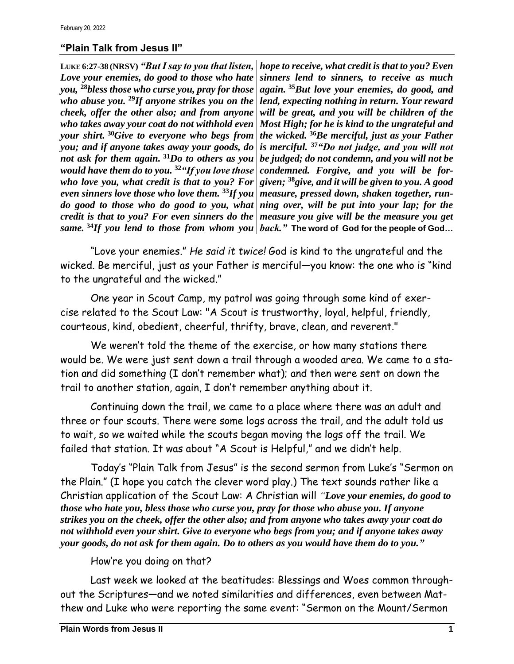## **"Plain Talk from Jesus II"**

**LUKE 6:27-38 (NRSV)** *"But I say to you that listen, Love your enemies, do good to those who hate you,* **<sup>28</sup>***bless those who curse you, pray for those who abuse you.* **<sup>29</sup>***If anyone strikes you on the cheek, offer the other also; and from anyone who takes away your coat do not withhold even your shirt.* **<sup>30</sup>***Give to everyone who begs from you; and if anyone takes away your goods, do not ask for them again.* **<sup>31</sup>***Do to others as you would have them do to you.* **<sup>32</sup>***"If you love those who love you, what credit is that to you? For even sinners love those who love them.* **<sup>33</sup>***If you measure, pressed down, shaken together, rundo good to those who do good to you, what credit is that to you? For even sinners do the | measure you give will be the measure you get same.* **<sup>34</sup>***If you lend to those from whom you back."* **The word of God for the people of God…**

*hope to receive, what credit is that to you? Even sinners lend to sinners, to receive as much again.* **<sup>35</sup>***But love your enemies, do good, and lend, expecting nothing in return. Your reward will be great, and you will be children of the Most High; for he is kind to the ungrateful and the wicked.* **<sup>36</sup>***Be merciful, just as your Father is merciful.* **<sup>37</sup>***"Do not judge, and you will not be judged; do not condemn, and you will not be condemned. Forgive, and you will be forgiven;* **<sup>38</sup>***give, and it will be given to you. A good ning over, will be put into your lap; for the* 

"Love your enemies." *He said it twice!* God is kind to the ungrateful and the wicked. Be merciful, just as your Father is merciful—you know: the one who is "kind to the ungrateful and the wicked."

One year in Scout Camp, my patrol was going through some kind of exercise related to the Scout Law: "A Scout is trustworthy, loyal, helpful, friendly, courteous, kind, obedient, cheerful, thrifty, brave, clean, and reverent."

We weren't told the theme of the exercise, or how many stations there would be. We were just sent down a trail through a wooded area. We came to a station and did something (I don't remember what); and then were sent on down the trail to another station, again, I don't remember anything about it.

Continuing down the trail, we came to a place where there was an adult and three or four scouts. There were some logs across the trail, and the adult told us to wait, so we waited while the scouts began moving the logs off the trail. We failed that station. It was about "A Scout is Helpful," and we didn't help.

Today's "Plain Talk from Jesus" is the second sermon from Luke's "Sermon on the Plain." (I hope you catch the clever word play.) The text sounds rather like a Christian application of the Scout Law: A Christian will *"Love your enemies, do good to those who hate you, bless those who curse you, pray for those who abuse you. If anyone strikes you on the cheek, offer the other also; and from anyone who takes away your coat do not withhold even your shirt. Give to everyone who begs from you; and if anyone takes away your goods, do not ask for them again. Do to others as you would have them do to you."*

## How're you doing on that?

Last week we looked at the beatitudes: Blessings and Woes common throughout the Scriptures—and we noted similarities and differences, even between Matthew and Luke who were reporting the same event: "Sermon on the Mount/Sermon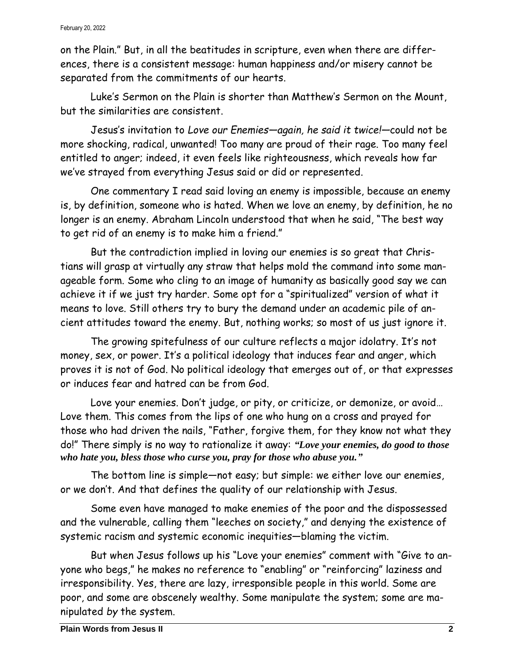## February 20, 2022

on the Plain." But, in all the beatitudes in scripture, even when there are differences, there is a consistent message: human happiness and/or misery cannot be separated from the commitments of our hearts.

Luke's Sermon on the Plain is shorter than Matthew's Sermon on the Mount, but the similarities are consistent.

Jesus's invitation to *Love our Enemies—again, he said it twice!—*could not be more shocking, radical, unwanted! Too many are proud of their rage. Too many feel entitled to anger; indeed, it even feels like righteousness, which reveals how far we've strayed from everything Jesus said or did or represented.

One commentary I read said loving an enemy is impossible, because an enemy is, by definition, someone who is hated. When we love an enemy, by definition, he no longer is an enemy. Abraham Lincoln understood that when he said, "The best way to get rid of an enemy is to make him a friend."

But the contradiction implied in loving our enemies is so great that Christians will grasp at virtually any straw that helps mold the command into some manageable form. Some who cling to an image of humanity as basically good say we can achieve it if we just try harder. Some opt for a "spiritualized" version of what it means to love. Still others try to bury the demand under an academic pile of ancient attitudes toward the enemy. But, nothing works; so most of us just ignore it.

The growing spitefulness of our culture reflects a major idolatry. It's not money, sex, or power. It's a political ideology that induces fear and anger, which proves it is not of God. No political ideology that emerges out of, or that expresses or induces fear and hatred can be from God.

Love your enemies. Don't judge, or pity, or criticize, or demonize, or avoid… Love them. This comes from the lips of one who hung on a cross and prayed for those who had driven the nails, "Father, forgive them, for they know not what they do!" There simply is no way to rationalize it away: *"Love your enemies, do good to those who hate you, bless those who curse you, pray for those who abuse you."*

The bottom line is simple—not easy; but simple: we either love our enemies, or we don't. And that defines the quality of our relationship with Jesus.

Some even have managed to make enemies of the poor and the dispossessed and the vulnerable, calling them "leeches on society," and denying the existence of systemic racism and systemic economic inequities—blaming the victim.

But when Jesus follows up his "Love your enemies" comment with "Give to anyone who begs," he makes no reference to "enabling" or "reinforcing" laziness and irresponsibility. Yes, there are lazy, irresponsible people in this world. Some are poor, and some are obscenely wealthy. Some manipulate the system; some are manipulated *by* the system.